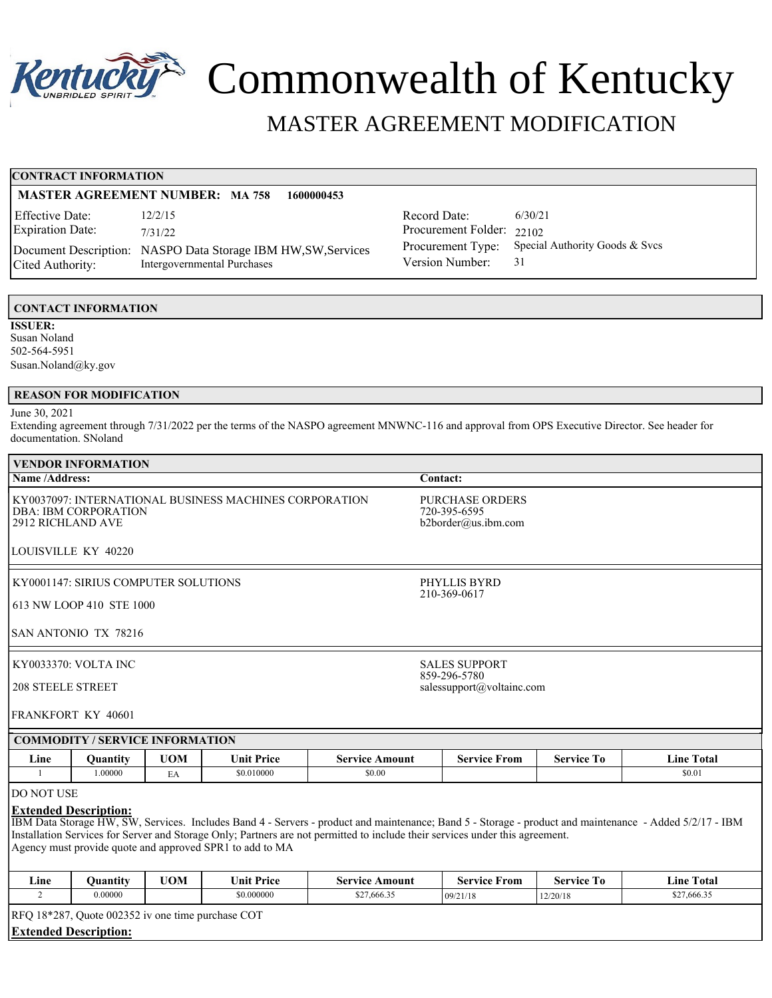

# Commonwealth of Kentucky

# MASTER AGREEMENT MODIFICATION

# **CONTRACT INFORMATION**

# **MASTER AGREEMENT NUMBER: MA 758 1600000453**

| Effective Date:         | 12/2/15                                                       |
|-------------------------|---------------------------------------------------------------|
| <b>Expiration Date:</b> | 7/31/22                                                       |
|                         | Document Description: NASPO Data Storage IBM HW, SW, Services |
| Cited Authority:        | Intergovernmental Purchases                                   |

Record Date: 6/30/21 Procurement Folder: 22102 Procurement Type: Special Authority Goods & Svcs<br>Version Number: 31 Version Number:

# **CONTACT INFORMATION**

**ISSUER:** Susan Noland 502-564-5951 Susan.Noland@ky.gov

# **REASON FOR MODIFICATION**

# June 30, 2021

Extending agreement through 7/31/2022 per the terms of the NASPO agreement MNWNC-116 and approval from OPS Executive Director. See header for documentation. SNoland

| VENDOR INFORMATION                                                                                      |                                                               |  |  |
|---------------------------------------------------------------------------------------------------------|---------------------------------------------------------------|--|--|
| <b>Name/Address:</b>                                                                                    | <b>Contact:</b>                                               |  |  |
| KY0037097: INTERNATIONAL BUSINESS MACHINES CORPORATION<br>  DBA: IBM CORPORATION<br>l 2912 RICHLAND AVE | <b>PURCHASE ORDERS</b><br>720-395-6595<br>b2border@us.ibm.com |  |  |
| LOUISVILLE KY 40220                                                                                     |                                                               |  |  |
| KY0001147: SIRIUS COMPUTER SOLUTIONS                                                                    | PHYLLIS BYRD<br>210-369-0617                                  |  |  |
| 1613 NW LOOP 410 STE 1000                                                                               |                                                               |  |  |
| ISAN ANTONIO TX 78216                                                                                   |                                                               |  |  |
| KY0033370: VOLTA INC                                                                                    | <b>SALES SUPPORT</b><br>859-296-5780                          |  |  |
| <b>208 STEELE STREET</b>                                                                                | salessupport@voltainc.com                                     |  |  |
| FRANKFORT KY 40601                                                                                      |                                                               |  |  |
| <b>COMMODITY / SERVICE INFORMATION</b>                                                                  |                                                               |  |  |

| . .<br>Line | Juantity | <b>UOM</b>          | Unit .<br><b>∵+ Price</b> | Amount<br>Service | Service<br>From | $\sim$<br>Service<br>-10 | Total<br>. .<br>∟ine † |
|-------------|----------|---------------------|---------------------------|-------------------|-----------------|--------------------------|------------------------|
|             | .00000   | $\sim$<br><b>LA</b> | \$0.010000                | \$0.00            |                 |                          | \$0.01                 |

# DO NOT USE

# **Extended Description:**

IBM Data Storage HW, SW, Services. Includes Band 4 - Servers - product and maintenance; Band 5 - Storage - product and maintenance - Added 5/2/17 - IBM Installation Services for Server and Storage Only; Partners are not permitted to include their services under this agreement. Agency must provide quote and approved SPR1 to add to MA

| Line | Ouantitv                                          | <b>UOM</b> | <b>Unit Price</b> | <b>Service Amount</b> | <b>Service From</b> | Service To | <b>Line Total</b> |  |  |  |
|------|---------------------------------------------------|------------|-------------------|-----------------------|---------------------|------------|-------------------|--|--|--|
|      | 0.00000                                           |            | \$0.000000        | \$27,666.35           | 109/21/18           | 12/20/18   | \$27,666.35       |  |  |  |
|      | RFQ 18*287, Quote 002352 iv one time purchase COT |            |                   |                       |                     |            |                   |  |  |  |

**Extended Description:**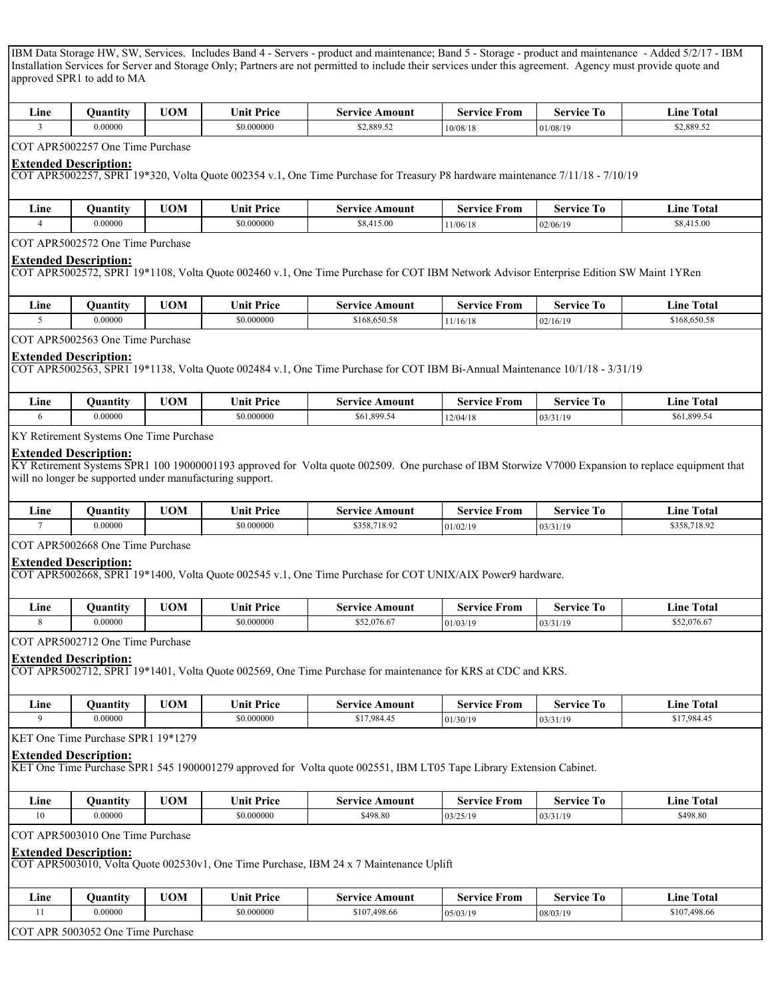IBM Data Storage HW, SW, Services. Includes Band 4 - Servers - product and maintenance; Band 5 - Storage - product and maintenance - Added 5/2/17 - IBM Installation Services for Server and Storage Only; Partners are not permitted to include their services under this agreement. Agency must provide quote and approved SPR1 to add to MA

| . .<br>⊥ıne | Juantity       | UOM | $\mathbf{r}$<br>. .<br>∪nıt<br><sup>P</sup> rice | \mount<br>service | service<br>*rom | Service<br>- 10 | ⊥ıne<br>I otal |
|-------------|----------------|-----|--------------------------------------------------|-------------------|-----------------|-----------------|----------------|
|             | <b>J.00000</b> |     | .000000                                          | \$2,889.52        | 10/08/18        | 01/08/19        | \$2,889.52     |

#### COT APR5002257 One Time Purchase

#### **Extended Description:**

COT APR5002257, SPR1 19\*320, Volta Quote 002354 v.1, One Time Purchase for Treasury P8 hardware maintenance 7/11/18 - 7/10/19

| . .<br>Line<br>$\sim$ | .<br>Juantity | <b>UOM</b> | <b>Jnit Price</b> | Amount<br>Service | †rom<br>Service | -<br>Service | m.<br>Total<br>⊥ıne ⊺ |
|-----------------------|---------------|------------|-------------------|-------------------|-----------------|--------------|-----------------------|
|                       | 0.00000       |            | \$0.000000        | \$8,415.00        | 11/06/18        | 02/06/19     | 415.00                |

COT APR5002572 One Time Purchase

#### **Extended Description:**

COT APR5002572, SPR1 19\*1108, Volta Quote 002460 v.1, One Time Purchase for COT IBM Network Advisor Enterprise Edition SW Maint 1YRen

| <b><i><u>Property</u></i></b><br>Line | Juantıtv | <b>UOM</b> | πт<br><b>∵ Price</b><br>∍nıt | Amount<br>Service | $\sim$<br>From<br>service | --<br>Service<br>-10 | Total<br>Line |
|---------------------------------------|----------|------------|------------------------------|-------------------|---------------------------|----------------------|---------------|
|                                       | 0.00000  |            | \$0.000000                   | \$168,650.58      | 11/16/18                  | 02/16/19             | \$168,650.58  |

COT APR5002563 One Time Purchase

## **Extended Description:**

COT APR5002563, SPR1 19\*1138, Volta Quote 002484 v.1, One Time Purchase for COT IBM Bi-Annual Maintenance 10/1/18 - 3/31/19

| . .<br>Line | Ouantıtv | <b>UOM</b> | $T$ $T$<br>$\cdots$<br>Price<br>∪nıt | Amount<br>Service | Service<br>From | <b>CONTRACTOR</b><br>Service<br>- 10 | Total<br>. .<br>⊥ıne ⊺ |
|-------------|----------|------------|--------------------------------------|-------------------|-----------------|--------------------------------------|------------------------|
|             | 0.00000  |            | \$0.000000                           | \$61,899.54       | 12/04/18        | 03/31/19                             | \$61,899.54            |

KY Retirement Systems One Time Purchase

#### **Extended Description:**

KY Retirement Systems SPR1 100 19000001193 approved for Volta quote 002509. One purchase of IBM Storwize V7000 Expansion to replace equipment that will no longer be supported under manufacturing support.

| - .<br>Line | Juantıtv | <b>UOM</b> | Unit Price | Amount<br>service | From<br>Service | -<br>Service<br>- 10 | --<br>Fotal<br>∟ıne ⊺ |
|-------------|----------|------------|------------|-------------------|-----------------|----------------------|-----------------------|
|             | 0.00000  |            | \$0.000000 | \$358,718.92      | 101/02/19       | 03/31/19             | ,718.92<br>\$358.1    |

COT APR5002668 One Time Purchase

# **Extended Description:**

COT APR5002668, SPR1 19\*1400, Volta Quote 002545 v.1, One Time Purchase for COT UNIX/AIX Power9 hardware.

| . .<br>$\sqcup$ ne | $\cdot$ .<br>Juantıtv | UOM | <b>t</b> Price<br>∪nit | Amount<br>service | ∀rom<br>service | --<br>Service<br>- 10 | $ -$<br>m.<br>Total<br>⊥ıne ⊺ |
|--------------------|-----------------------|-----|------------------------|-------------------|-----------------|-----------------------|-------------------------------|
|                    | 0.00000               |     | \$0.000000             | \$52,076.67       | 01/03/19        | 03/31/19              | \$52,076.67                   |

COT APR5002712 One Time Purchase

## **Extended Description:**

COT APR5002712, SPR1 19\*1401, Volta Quote 002569, One Time Purchase for maintenance for KRS at CDC and KRS.

| . .<br>Line | Juantıtv | <b>TION</b><br>''UN | $\mathbf{r}$<br><b>∵+ Price</b><br>∍nıt | Amount<br>Service | From<br>Service | $\sim$<br>Service<br>-10 | m.<br>Total<br>⊥ıne ⊺ |
|-------------|----------|---------------------|-----------------------------------------|-------------------|-----------------|--------------------------|-----------------------|
|             | 0.00000  |                     | \$0.000000                              | \$17,984.45       | 01/30/19        | 03/31/19                 | \$17,984.45           |

KET One Time Purchase SPR1 19\*1279

## **Extended Description:**

KET One Time Purchase SPR1 545 1900001279 approved for Volta quote 002551, IBM LT05 Tape Library Extension Cabinet.

| Line | Juantity | <b>TTAB</b><br>UN. | $T$ T<br><b>∵ Price</b><br>* ≀nıt ∶ | Amount<br>service | service<br>'rom | --<br>Service<br>ΊO | $\sim$<br>Total<br>$\blacktriangle$ ine $\blacktriangle$ |
|------|----------|--------------------|-------------------------------------|-------------------|-----------------|---------------------|----------------------------------------------------------|
|      | 0.00000  |                    | \$0.000000                          | \$498.80          | 03/25/19        | 03/31/19            | \$498.80                                                 |

COT APR5003010 One Time Purchase

# **Extended Description:**

COT APR5003010, Volta Quote 002530v1, One Time Purchase, IBM 24 x 7 Maintenance Uplift

| 0.00000<br>\$0.000000<br>\$107,498.66<br>\$107.<br>,498.66<br>08/03/19<br>05/03/19 | $\mathbf{r}$<br>∟ine | Ouantıtv | <b>UOM</b> | Unit Price | Amount<br>Service | $\sim$<br>*rom<br>service | --<br>Service<br>- 10 | <b>CONTRACTOR</b><br>Total<br>∟ine |
|------------------------------------------------------------------------------------|----------------------|----------|------------|------------|-------------------|---------------------------|-----------------------|------------------------------------|
|                                                                                    |                      |          |            |            |                   |                           |                       |                                    |

COT APR 5003052 One Time Purchase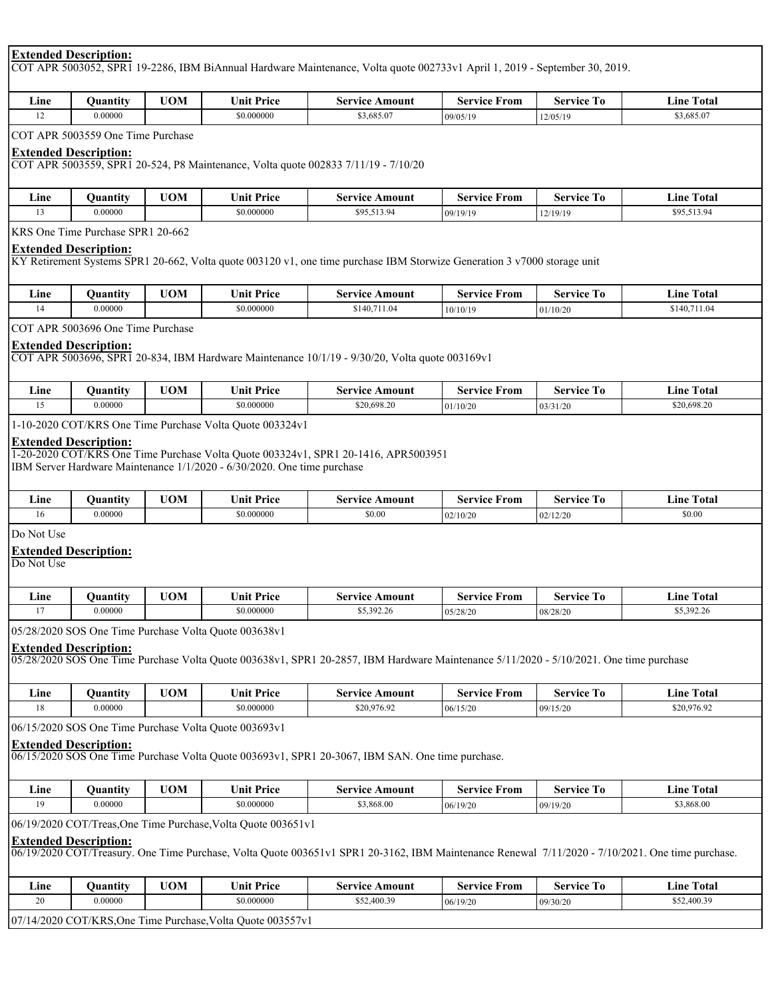# **Extended Description:**

COT APR 5003052, SPR1 19-2286, IBM BiAnnual Hardware Maintenance, Volta quote 002733v1 April 1, 2019 - September 30, 2019.

| . .<br>Line<br>__ | . .<br>Juantıtv | <b>TOM</b> | $\mathbf{r}$<br>Price<br>∪nıt | Amount<br>service | From<br>service | -<br>Service | l'otal<br>⊥ıne ⊺ |
|-------------------|-----------------|------------|-------------------------------|-------------------|-----------------|--------------|------------------|
|                   | 0.00000         |            | \$0.000000                    | \$3,685.07        | 09/05/19        | 12/05/19     | 3,685.07         |

COT APR 5003559 One Time Purchase

# **Extended Description:**

COT APR 5003559, SPR1 20-524, P8 Maintenance, Volta quote 002833 7/11/19 - 7/10/20

| . .<br>Line | Juantıtv | <b>TION</b><br><b>JUIVI</b> | U <b>nit Price</b>  | Amount<br>service | Service<br>From | $\sim$<br>Service<br>- 10 | --<br>. .<br>1 otal<br>Lıne |
|-------------|----------|-----------------------------|---------------------|-------------------|-----------------|---------------------------|-----------------------------|
|             | 0.00000  |                             | $^{\circ}$ 0.000000 | \$95,513.94       | 09/19/19        | 12/19/19                  | \$95,513.94                 |

KRS One Time Purchase SPR1 20-662

# **Extended Description:**

KY Retirement Systems SPR1 20-662, Volta quote 003120 v1, one time purchase IBM Storwize Generation 3 v7000 storage unit

| . .<br>Line | Juantıtv | <b>UOM</b> | m t<br><b>∵ Price</b><br>∍nıt | Amount<br>Service    | From<br>Service | -<br>Service<br>10 | m.<br>Total<br>⊥ıne ⊺ |
|-------------|----------|------------|-------------------------------|----------------------|-----------------|--------------------|-----------------------|
|             | 0.00000  |            | \$0.000000                    | \$140.711<br>. 11.04 | 10/10/19        | 01/10/20           | \$140,71<br>1.04      |

COT APR 5003696 One Time Purchase

#### **Extended Description:**

COT APR 5003696, SPR1 20-834, IBM Hardware Maintenance 10/1/19 - 9/30/20, Volta quote 003169v1

| $ -$<br>Line<br>__ | Juantıtv | <b>UOM</b> | $I$ Init<br><b>∵ Price</b> | Amount<br>Service | From<br>Service | $\overline{\phantom{a}}$<br>Service | Fotal<br>∟ine≐ |
|--------------------|----------|------------|----------------------------|-------------------|-----------------|-------------------------------------|----------------|
|                    | .00000   |            | \$0.000000                 | \$20,698.20       | 101/10/20       | 03/31/20                            | \$20,698.20    |

1-10-2020 COT/KRS One Time Purchase Volta Quote 003324v1

# **Extended Description:**

1-20-2020 COT/KRS One Time Purchase Volta Quote 003324v1, SPR1 20-1416, APR5003951 IBM Server Hardware Maintenance 1/1/2020 - 6/30/2020. One time purchase

| Line | Juantıtv | <b>UOM</b> | $\sim$ 300 $\sim$<br>$\mathbf{r}$<br>Price<br>∍nıt | Amount<br>Service | : From<br>service | Service<br>- 10 | <b>CENT</b><br>I otal<br>∟ıne ⊺ |
|------|----------|------------|----------------------------------------------------|-------------------|-------------------|-----------------|---------------------------------|
| ın   | 0.00000  |            | \$0.000000                                         | \$0.00            | 02/10/20          | 02/12/20        | \$0.00                          |

Do Not Use

#### **Extended Description:**

Do Not Use

| . .<br>$\sqcup$ ne | Vuantıtv | <b>UOM</b> | $\cdots$<br>Price<br>∪nıt | Amount<br>Service | From<br>Service | --<br>Service<br>- 10 | --<br>l otal<br>Lıne   |
|--------------------|----------|------------|---------------------------|-------------------|-----------------|-----------------------|------------------------|
|                    | 0.00000  |            | \$0.000000                | \$5,392.26        | 05/28/20        | 08/28/20              | 85 302 26<br>99,992.20 |

05/28/2020 SOS One Time Purchase Volta Quote 003638v1

#### **Extended Description:**

05/28/2020 SOS One Time Purchase Volta Quote 003638v1, SPR1 20-2857, IBM Hardware Maintenance 5/11/2020 - 5/10/2021. One time purchase

| . .<br>⊥ıne | Juantıty | $-1$<br>UN. | $\cdot$ Price<br>∪nıt | <b>\mount</b><br>service | From<br>service | $\overline{\phantom{a}}$<br>service<br>- 10 | $\sim$<br>rotal<br>∟ıne |
|-------------|----------|-------------|-----------------------|--------------------------|-----------------|---------------------------------------------|-------------------------|
|             | 0.00000  |             | \$0.000000            | \$20,976.92              | $106/15$ /2.    | 09/15/20                                    | \$20,976.92             |

06/15/2020 SOS One Time Purchase Volta Quote 003693v1

#### **Extended Description:**

06/15/2020 SOS One Time Purchase Volta Quote 003693v1, SPR1 20-3067, IBM SAN. One time purchase.

| Lıne | $\cdot$ .<br>Juantity | <b>TIOM</b><br>IUIV. | $\mathbf{r}$<br>$\sim$<br>Price<br>∕nıt | Amount<br>service | rom<br>service | --<br>Service<br>- 10 | Total<br>⊥ıne ⊺ |
|------|-----------------------|----------------------|-----------------------------------------|-------------------|----------------|-----------------------|-----------------|
|      | .00000                |                      | \$0.000000                              | \$3,868.00        | 106/19/20      | 09/19/20              | \$3,868.00      |

06/19/2020 COT/Treas,One Time Purchase,Volta Quote 003651v1

# **Extended Description:**

06/19/2020 COT/Treasury. One Time Purchase, Volta Quote 003651v1 SPR1 20-3162, IBM Maintenance Renewal 7/11/2020 - 7/10/2021. One time purchase.

| . .<br>∟ine                                                 | Ouantitv | <b>UOM</b> | <b>Unit Price</b> | Service Amount | Service From | <b>Service To</b> | Total<br>Line |  |  |
|-------------------------------------------------------------|----------|------------|-------------------|----------------|--------------|-------------------|---------------|--|--|
| ΖU                                                          | 0.00000  |            | \$0.000000        | \$52,400.39    | 106/19/20    | 09/30/20          | \$52,400.39   |  |  |
| 07/14/2020 COT/KRS, One Time Purchase, Volta Quote 003557v1 |          |            |                   |                |              |                   |               |  |  |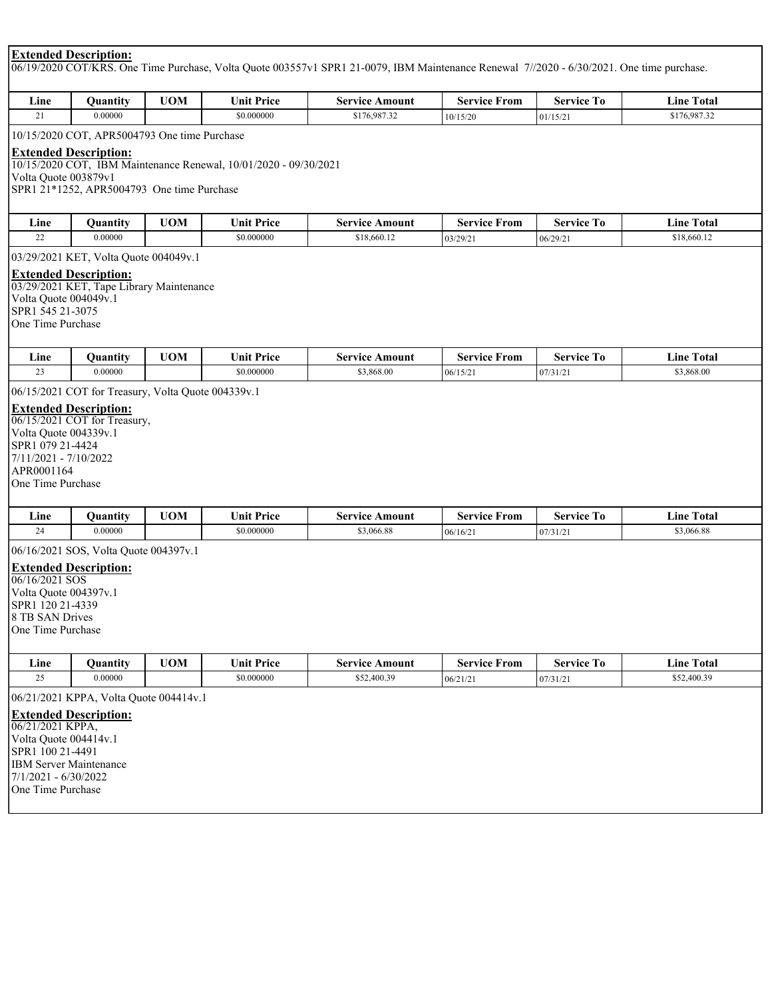# **Extended Description:**

06/19/2020 COT/KRS. One Time Purchase, Volta Quote 003557v1 SPR1 21-0079, IBM Maintenance Renewal 7//2020 - 6/30/2021. One time purchase.

| Line | .<br>Juantıtv | <b>TIORS</b><br>UN | $\mathbf{r}$<br>$\bullet$<br>∋nıt<br>Price | Amount<br>service | From<br>service | <b>Service</b> | Fotal<br>⊿ıne |
|------|---------------|--------------------|--------------------------------------------|-------------------|-----------------|----------------|---------------|
|      | 0.00000       |                    | \$0.000000                                 | \$176,987.32      | 10/15/20        | 01/15/2        | \$176,987.32  |

10/15/2020 COT, APR5004793 One time Purchase

# **Extended Description:**

10/15/2020 COT, IBM Maintenance Renewal, 10/01/2020 - 09/30/2021 Volta Quote 003879v1 SPR1 21\*1252, APR5004793 One time Purchase

| ∟ine | .<br>Vuantıtv | <b>UOM</b> | $\rightarrow$ Price<br>$\mathbf{r}$<br>∍nıt | Amount<br>Service | From<br>Service | <b>Service</b><br>10 | <b>Total</b><br>∟ıne |
|------|---------------|------------|---------------------------------------------|-------------------|-----------------|----------------------|----------------------|
| --   | 0.00000       |            | \$0.000000                                  | \$18,660.12       | 03/29/2         | 06/29/2              | \$18,660.12          |

03/29/2021 KET, Volta Quote 004049v.1

## **Extended Description:**

03/29/2021 KET, Tape Library Maintenance Volta Quote 004049v.1 SPR1 545 21-3075 One Time Purchase

| $ -$<br>∟ine | Ouantıtv | "IOM | $\mathbf{r}$<br>Price<br>$\bullet$<br>' ≀nıt ∶ | Amount<br>Service | From<br>Service | --<br>service<br>. O<br>эсі | <b>Total</b><br>Line : |
|--------------|----------|------|------------------------------------------------|-------------------|-----------------|-----------------------------|------------------------|
|              | 0.00000  |      | \$0.000000                                     | $\$3,868.00$      | 106/15/2        | 107/31/2.                   | \$3,868.00             |

06/15/2021 COT for Treasury, Volta Quote 004339v.1

# **Extended Description:**

06/15/2021 COT for Treasury, Volta Quote 004339v.1 SPR1 079 21-4424 7/11/2021 - 7/10/2022 APR0001164 One Time Purchase

| . .<br>⊿me | Juantıtv | <b>UOM</b> | <sup>*</sup> Price<br>$\mathbf{u}$ in $\mathbf{u}$ | Amount<br>service | From<br>Service | ---<br>Service<br>$\Omega$ | <b>CONTRACTOR</b><br>l'otal<br>$\mathbf{L}$ lne $\mathbf{L}$ |
|------------|----------|------------|----------------------------------------------------|-------------------|-----------------|----------------------------|--------------------------------------------------------------|
|            | 0.00000  |            | \$0.000000                                         | \$3,066.88        | 106/16/2        | $07/31/2$ .                | \$3,066.88                                                   |

06/16/2021 SOS, Volta Quote 004397v.1

# **Extended Description:**

06/16/2021 SOS Volta Quote 004397v.1 SPR1 120 21-4339 8 TB SAN Drives One Time Purchase

| <b>UOM</b><br>Line<br>Ouantity<br>25<br>0.00000<br><b>Extended Description:</b><br>$106/21/2021$ KPPA,<br>Volta Quote 004414v.1 |                                        |                       |                     |                   |                   |  |  |
|---------------------------------------------------------------------------------------------------------------------------------|----------------------------------------|-----------------------|---------------------|-------------------|-------------------|--|--|
|                                                                                                                                 | <b>Unit Price</b>                      | <b>Service Amount</b> | <b>Service From</b> | <b>Service To</b> | <b>Line Total</b> |  |  |
|                                                                                                                                 | \$0.000000                             | \$52,400.39           | 06/21/21            | 07/31/21          | \$52,400.39       |  |  |
|                                                                                                                                 | 06/21/2021 KPPA, Volta Quote 004414v.1 |                       |                     |                   |                   |  |  |
| ISPR1 100 21-4491<br><b>IBM Server Maintenance</b>                                                                              |                                        |                       |                     |                   |                   |  |  |

7/1/2021 - 6/30/2022 One Time Purchase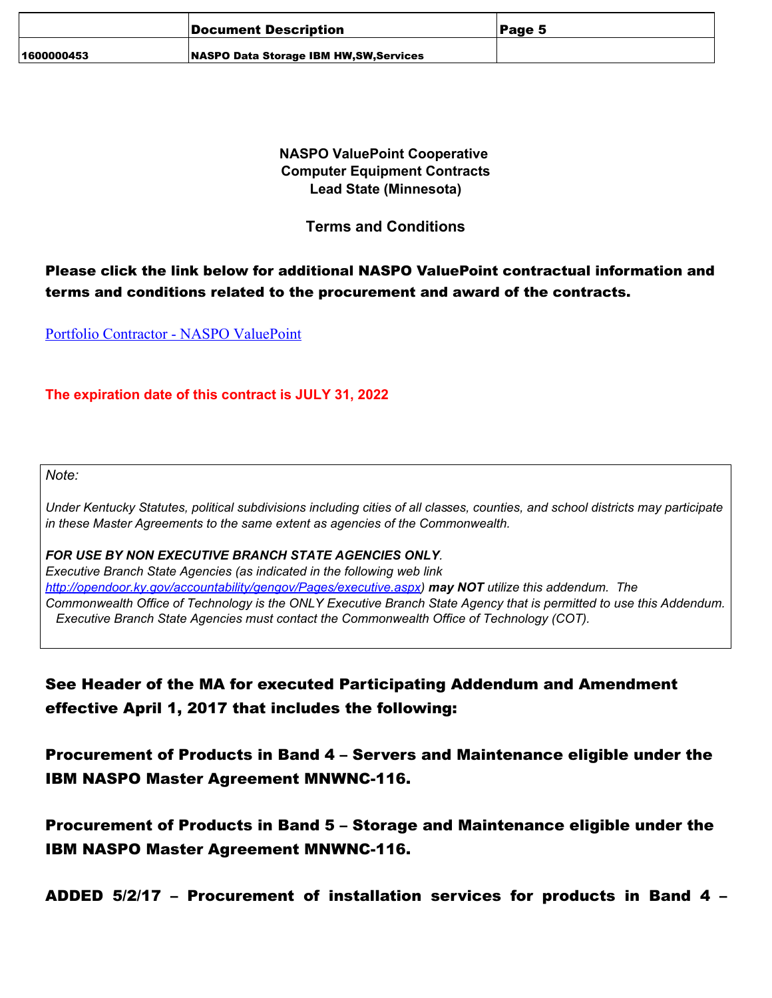|            | Document Description                         | Page 5 |
|------------|----------------------------------------------|--------|
| 1600000453 | <b>NASPO Data Storage IBM HW.SW.Services</b> |        |

**NASPO ValuePoint Cooperative Computer Equipment Contracts** Lead State (Minnesota)

**Terms and Conditions** 

# Please click the link below for additional NASPO ValuePoint contractual information and terms and conditions related to the procurement and award of the contracts.

**Portfolio Contractor - NASPO ValuePoint** 

# The expiration date of this contract is JULY 31, 2022

Note:

Under Kentucky Statutes, political subdivisions including cities of all classes, counties, and school districts may participate *in these Master Agreements to the same extent as agencies of the Commonwealth.* 

# FOR USE BY NON EXECUTIVE BRANCH STATE AGENCIES ONLY.

Executive Branch State Agencies (as indicated in the following web link <u>http://opendoor.ky.gov/accountability/gengov/Pages/executive.aspx)</u> may NOT utilize this addendum. The Commonwealth Office of Technology is the ONLY Executive Branch State Agency that is permitted to use this Addendum. Executive Branch State Agencies must contact the Commonwealth Office of Technology (COT).

# See Header of the MA for executed Participating Addendum and Amendment effective April 1, 2017 that includes the following:

Procurement of Products in Band 4 – Servers and Maintenance eligible under the IBM NASPO Master Agreement MNWNC-116.

Procurement of Products in Band 5 – Storage and Maintenance eligible under the IBM NASPO Master Agreement MNWNC-116.

ADDED 5/2/17 – Procurement of installation services for products in Band 4 –